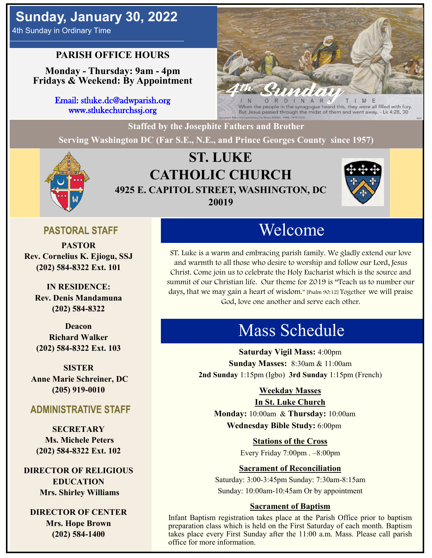4th Sunday in Ordinary Time

# **PARISH OFFICE HOURS**

**Monday - Thursday: 9am - 4pm Fridays & Weekend: By Appointment**

> Email: stluke.dc@adwparish.org www.stlukechurchssj.org



When the people in the synagogue heard this, they were all filled with fury. But Jesus passed through the midst of them and went away. - Lk 4:28, 30

**Staffed by the Josephite Fathers and Brother**

**Serving Washington DC (Far S.E., N.E., and Prince Georges County since 1957)**



# **ST. LUKE CATHOLIC CHURCH 4925 E. CAPITOL STREET, WASHINGTON, DC 20019**



## **PASTORAL STAFF**

**PASTOR Rev. Cornelius K. Ejiogu, SSJ (202) 584-8322 Ext. 101**

**IN RESIDENCE: Rev. Denis Mandamuna (202) 584-8322** 

**Deacon Richard Walker (202) 584-8322 Ext. 103**

**SISTER Anne Marie Schreiner, DC (205) 919-0010**

### **ADMINISTRATIVE STAFF**

**SECRETARY Ms. Michele Peters (202) 584-8322 Ext. 102**

**DIRECTOR OF RELIGIOUS EDUCATION Mrs. Shirley Williams**

**DIRECTOR OF CENTER Mrs. Hope Brown (202) 584-1400**

# Welcome

ST. Luke is a warm and embracing parish family. We gladly extend our love and warmth to all those who desire to worship and follow our Lord, Jesus Christ. Come join us to celebrate the Holy Eucharist which is the source and summit of our Christian life. Our theme for 2019 is "Teach us to number our days, that we may gain a heart of wisdom." [Psalm 90:12] Together we will praise God, love one another and serve each other.

# Mass Schedule

**Saturday Vigil Mass:** 4:00pm **Sunday Masses:** 8:30am & 11:00am **2nd Sunday** 1:15pm (Igbo) **3rd Sunday** 1:15pm (French)

### **Weekday Masses**

### **In St. Luke Church**

**Monday:** 10:00am & **Thursday:** 10:00am **Wednesday Bible Study:** 6:00pm

**Stations of the Cross**

Every Friday 7:00pm . –8:00pm

### **Sacrament of Reconciliation**

Saturday: 3:00-3:45pm Sunday: 7:30am-8:15am Sunday: 10:00am-10:45am Or by appointment

### **Sacrament of Baptism**

Infant Baptism registration takes place at the Parish Office prior to baptism preparation class which is held on the First Saturday of each month. Baptism takes place every First Sunday after the 11:00 a.m. Mass. Please call parish office for more information.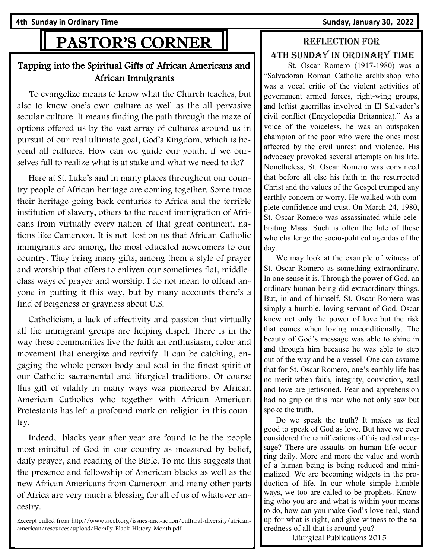Ath Sunday in Ordinary Time **Sunday, 1998** Sunday, January 30, 2022

# PASTOR'S CORNER

### Tapping into the Spiritual Gifts of African Americans and African Immigrants

 To evangelize means to know what the Church teaches, but also to know one's own culture as well as the all-pervasive secular culture. It means finding the path through the maze of options offered us by the vast array of cultures around us in pursuit of our real ultimate goal, God's Kingdom, which is beyond all cultures. How can we guide our youth, if we ourselves fall to realize what is at stake and what we need to do?

 Here at St. Luke's and in many places throughout our country people of African heritage are coming together. Some trace their heritage going back centuries to Africa and the terrible institution of slavery, others to the recent immigration of Africans from virtually every nation of that great continent, nations like Cameroon. It is not lost on us that African Catholic immigrants are among, the most educated newcomers to our country. They bring many gifts, among them a style of prayer and worship that offers to enliven our sometimes flat, middleclass ways of prayer and worship. I do not mean to offend anyone in putting it this way, but by many accounts there's a find of beigeness or grayness about U.S.

 Catholicism, a lack of affectivity and passion that virtually all the immigrant groups are helping dispel. There is in the way these communities live the faith an enthusiasm, color and movement that energize and revivify. It can be catching, engaging the whole person body and soul in the finest spirit of our Catholic sacramental and liturgical traditions. Of course this gift of vitality in many ways was pioneered by African American Catholics who together with African American Protestants has left a profound mark on religion in this country.

 Indeed, blacks year after year are found to be the people most mindful of God in our country as measured by belief, daily prayer, and reading of the Bible. To me this suggests that the presence and fellowship of American blacks as well as the new African Americans from Cameroon and many other parts of Africa are very much a blessing for all of us of whatever ancestry.

Excerpt culled from http://wwwusccb.org/issues-and-action/cultural-diversity/africanamerican/resources/upload/Homily-Black-History-Month.pdf

## Reflection for 4th Sunday in Ordinary time

 St. Oscar Romero (1917-1980) was a "Salvadoran Roman Catholic archbishop who was a vocal critic of the violent activities of government armed forces, right-wing groups, and leftist guerrillas involved in El Salvador's civil conflict (Encyclopedia Britannica)." As a voice of the voiceless, he was an outspoken champion of the poor who were the ones most affected by the civil unrest and violence. His advocacy provoked several attempts on his life. Nonetheless, St. Oscar Romero was convinced that before all else his faith in the resurrected Christ and the values of the Gospel trumped any earthly concern or worry. He walked with complete confidence and trust. On March 24, 1980, St. Oscar Romero was assassinated while celebrating Mass. Such is often the fate of those who challenge the socio-political agendas of the day.

 We may look at the example of witness of St. Oscar Romero as something extraordinary. In one sense it is. Through the power of God, an ordinary human being did extraordinary things. But, in and of himself, St. Oscar Romero was simply a humble, loving servant of God. Oscar knew not only the power of love but the risk that comes when loving unconditionally. The beauty of God's message was able to shine in and through him because he was able to step out of the way and be a vessel. One can assume that for St. Oscar Romero, one's earthly life has no merit when faith, integrity, conviction, zeal and love are jettisoned. Fear and apprehension had no grip on this man who not only saw but spoke the truth.

 Do we speak the truth? It makes us feel good to speak of God as love. But have we ever considered the ramifications of this radical message? There are assaults on human life occurring daily. More and more the value and worth of a human being is being reduced and minimalized. We are becoming widgets in the production of life. In our whole simple humble ways, we too are called to be prophets. Knowing who you are and what is within your means to do, how can you make God's love real, stand up for what is right, and give witness to the sacredness of all that is around you?

Liturgical Publications 2015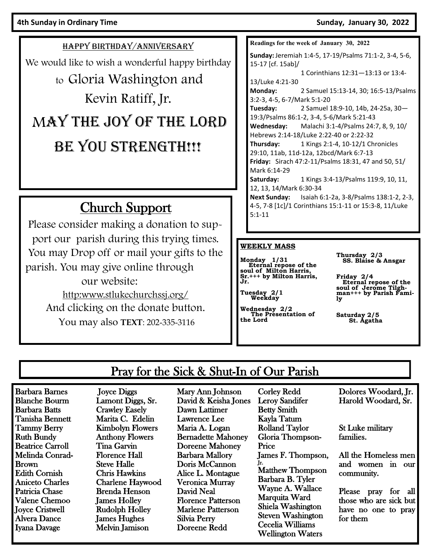HAPPY BIRTHDAY/ANNIVERSARY We would like to wish a wonderful happy birthday to Gloria Washington and Kevin Ratiff, Jr. MAY THE JOY OF THE LORD BE YOU STRENGTH!!!

# Church Support

Please consider making a donation to support our parish during this trying times. You may Drop off or mail your gifts to the parish. You may give online through our website: http:www.stlukechurchssj.org/ And clicking on the donate button. You may also **TEXT**: 202-335-3116

| Readings for the week of January 30, 2022              |                                                        |
|--------------------------------------------------------|--------------------------------------------------------|
| Sunday: Jeremiah 1:4-5, 17-19/Psalms 71:1-2, 3-4, 5-6, |                                                        |
| 15-17 [cf. 15ab]/                                      |                                                        |
|                                                        | 1 Corinthians 12:31-13:13 or 13:4-                     |
| 13/Luke 4:21-30                                        |                                                        |
| Monday:                                                | 2 Samuel 15:13-14, 30; 16:5-13/Psalms                  |
| 3:2-3, 4-5, 6-7/Mark 5:1-20                            |                                                        |
|                                                        | <b>Tuesday:</b> $2$ Samuel 18:9-10, 14b, 24-25a, 30-   |
| 19:3/Psalms 86:1-2, 3-4, 5-6/Mark 5:21-43              |                                                        |
|                                                        | <b>Wednesday:</b> Malachi 3:1-4/Psalms 24:7, 8, 9, 10/ |
| Hebrews 2:14-18/Luke 2:22-40 or 2:22-32                |                                                        |
|                                                        | Thursday: 1 Kings 2:1-4, 10-12/1 Chronicles            |
| 29:10, 11ab, 11d-12a, 12bcd/Mark 6:7-13                |                                                        |
|                                                        | Friday: Sirach 47:2-11/Psalms 18:31, 47 and 50, 51/    |
| Mark 6:14-29                                           |                                                        |
|                                                        | <b>Saturday:</b> 1 Kings 3:4-13/Psalms 119:9, 10, 11,  |
| 12, 13, 14/Mark 6:30-34                                |                                                        |
|                                                        | Next Sunday: Isaiah 6:1-2a, 3-8/Psalms 138:1-2, 2-3,   |
| 4-5, 7-8 [1c]/1 Corinthians 15:1-11 or 15:3-8, 11/Luke |                                                        |
| $5:1 - 11$                                             |                                                        |

#### **WEEKLY MASS**

**Monday 1/31 Eternal repose of the soul of Milton Harris, Sr.+++ by Milton Harris, Jr.** 

**Tuesday 2/1 Weekday**

**Wednesday 2/2 The Presentation of the Lord**

**Thursday 2/3 SS. Blaise & Ansgar**

**Friday 2/4 Eternal repose of the soul of Jerome Tilgh-man+++ by Parish Family**

**Saturday 2/5 St. Agatha** 

## Pray for the Sick & Shut-In of Our Parish

Barbara Barnes Blanche Bourm Barbara Batts Tanisha Bennett Tammy Berry Ruth Bundy Beatrice Carroll Melinda Conrad-Brown Edith Cornish Aniceto Charles Patricia Chase Valene Chemoo Joyce Cristwell Alvera Dance Iyana Davage

 Joyce Diggs Lamont Diggs, Sr. Crawley Easely Marita C. Edelin Kimbolyn Flowers Anthony Flowers Tina Garvin Florence Hall Steve Halle Chris Hawkins Charlene Haywood Brenda Henson James Holley Rudolph Holley James Hughes Melvin Jamison

Mary Ann Johnson David & Keisha Jones Dawn Lattimer Lawrence Lee Maria A. Logan Bernadette Mahoney Doreene Mahoney Barbara Mallory Doris McCannon Alice L. Montague Veronica Murray David Neal Florence Patterson Marlene Patterson Silvia Perry Doreene Redd

Corley Redd Leroy Sandifer Betty Smith Kayla Tatum Rolland Taylor Gloria Thompson-Price James F. Thompson, Jr. Matthew Thompson Barbara B. Tyler Wayne A. Wallace Marquita Ward Shiela Washington Steven Washington Cecelia Williams Wellington Waters

Dolores Woodard, Jr. Harold Woodard, Sr.

St Luke military families.

All the Homeless men and women in our community.

Please pray for all those who are sick but have no one to pray for them